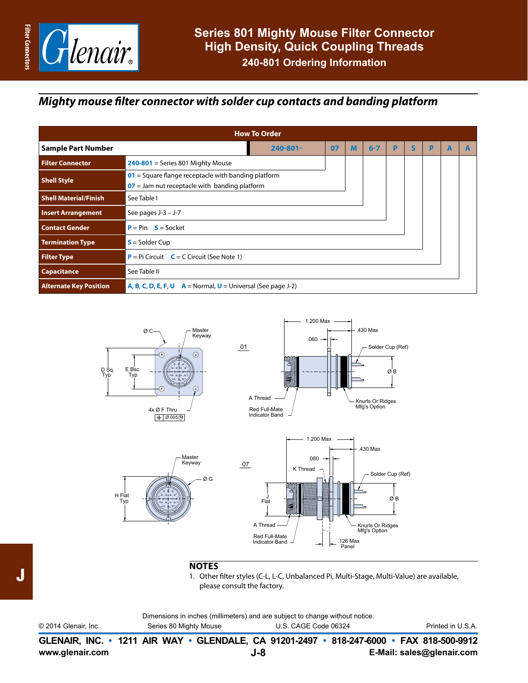

### *Mighty mouse filter connector with solder cup contacts and banding platform*

|                               | <b>How To Order</b>                                                                                      |    |   |         |  |   |   |   |  |
|-------------------------------|----------------------------------------------------------------------------------------------------------|----|---|---------|--|---|---|---|--|
| <b>Sample Part Number</b>     | $240 - 801 -$                                                                                            | 07 | M | $6 - 7$ |  | S | P | A |  |
| <b>Filter Connector</b>       | $240-801$ = Series 801 Mighty Mouse                                                                      |    |   |         |  |   |   |   |  |
| <b>Shell Style</b>            | $01$ = Square flange receptacle with banding platform<br>$07$ = Jam nut receptacle with banding platform |    |   |         |  |   |   |   |  |
| <b>Shell Material/Finish</b>  | See Table I                                                                                              |    |   |         |  |   |   |   |  |
| <b>Insert Arrangement</b>     | See pages $J-3 - J-7$                                                                                    |    |   |         |  |   |   |   |  |
| <b>Contact Gender</b>         | $P = Pin S = Socket$                                                                                     |    |   |         |  |   |   |   |  |
| <b>Termination Type</b>       | $S =$ Solder Cup                                                                                         |    |   |         |  |   |   |   |  |
| <b>Filter Type</b>            | $P = Pi$ Circuit $C = C$ Circuit (See Note 1)                                                            |    |   |         |  |   |   |   |  |
| Capacitance                   | See Table II                                                                                             |    |   |         |  |   |   |   |  |
| <b>Alternate Key Position</b> | <b>A, B, C, D, E, F, U</b> $A = Normal$ , $U = Universal$ (See page J-2)                                 |    |   |         |  |   |   |   |  |









#### **NOTES**

1. Other filter styles (C-L, L-C, Unbalanced Pi, Multi-Stage, Multi-Value) are available, please consult the factory.

Dimensions in inches (millimeters) and are subject to change without notice.

© 2014 Glenair, Inc. Series 80 Mighty Mouse U.S. CAGE Code 06324 Printed in U.S.A.

**www.glenair.com E-Mail: sales@glenair.com GLENAIR, INC. • 1211 AIR WAY • GLENDALE, CA 91201-2497 • 818-247-6000 • FAX 818-500-9912 J-8**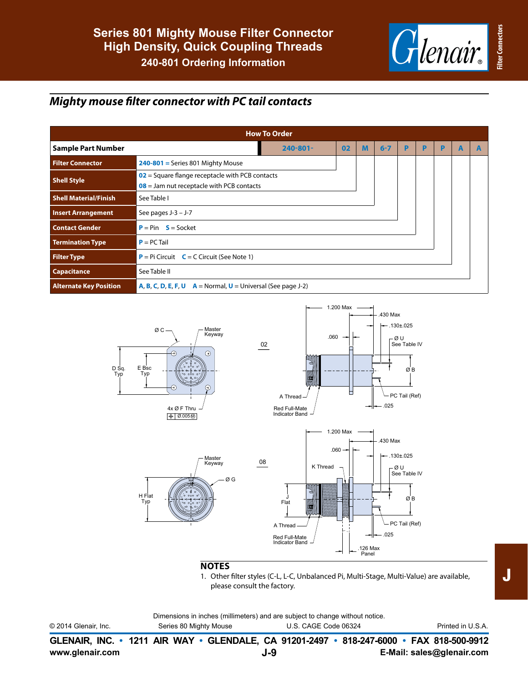**Filter Connectors**

**Filter Connector** 

## *Mighty mouse filter connector with PC tail contacts*

| <b>How To Order</b>           |                                                                          |                                                   |    |   |         |   |   |   |   |   |
|-------------------------------|--------------------------------------------------------------------------|---------------------------------------------------|----|---|---------|---|---|---|---|---|
| <b>Sample Part Number</b>     |                                                                          | $240 - 801 -$                                     | 02 | M | $6 - 7$ | P | P | P | A | A |
| <b>Filter Connector</b>       | $240-801$ = Series 801 Mighty Mouse                                      |                                                   |    |   |         |   |   |   |   |   |
| <b>Shell Style</b>            | $08$ = Jam nut receptacle with PCB contacts                              | $02$ = Square flange receptacle with PCB contacts |    |   |         |   |   |   |   |   |
| <b>Shell Material/Finish</b>  | See Table I                                                              |                                                   |    |   |         |   |   |   |   |   |
| <b>Insert Arrangement</b>     | See pages $J-3 - J-7$                                                    |                                                   |    |   |         |   |   |   |   |   |
| <b>Contact Gender</b>         | $P = Pin S = Sockets$                                                    |                                                   |    |   |         |   |   |   |   |   |
| <b>Termination Type</b>       | $P = PC$ Tail                                                            |                                                   |    |   |         |   |   |   |   |   |
| <b>Filter Type</b>            | $P = Pi$ Circuit $C = C$ Circuit (See Note 1)                            |                                                   |    |   |         |   |   |   |   |   |
| <b>Capacitance</b>            | See Table II                                                             |                                                   |    |   |         |   |   |   |   |   |
| <b>Alternate Key Position</b> | <b>A, B, C, D, E, F, U</b> $A = Normal$ , $U = Universal$ (See page J-2) |                                                   |    |   |         |   |   |   |   |   |



### **NOTES**

1. Other filter styles (C-L, L-C, Unbalanced Pi, Multi-Stage, Multi-Value) are available, please consult the factory.

Dimensions in inches (millimeters) and are subject to change without notice.

| © 2014 Glenair, Inc. | Series 80 Mighty Mouse | U.S. CAGE Code 06324                                                                     | Printed in U.S.A. |
|----------------------|------------------------|------------------------------------------------------------------------------------------|-------------------|
|                      |                        | GLENAIR, INC. • 1211 AIR WAY • GLENDALE, CA 91201-2497 • 818-247-6000 • FAX 818-500-9912 |                   |

**J-9**

**www.glenair.com E-Mail: sales@glenair.com**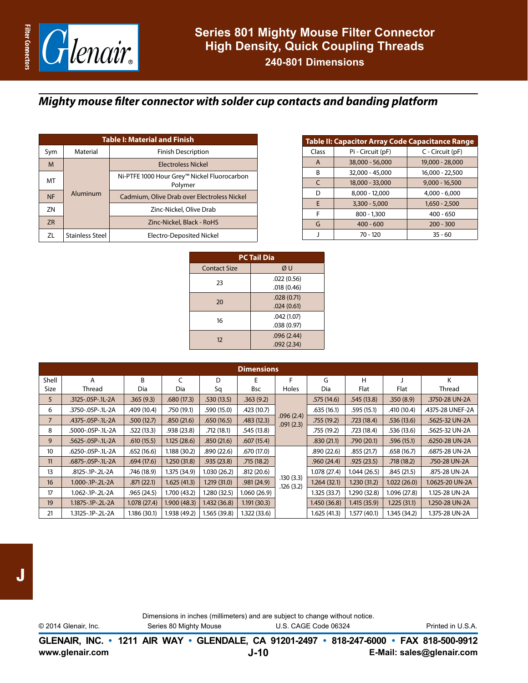

## *Mighty mouse filter connector with solder cup contacts and banding platform*

|           | <b>Table I: Material and Finish</b> |                                                        |  |  |  |  |  |
|-----------|-------------------------------------|--------------------------------------------------------|--|--|--|--|--|
| Sym       | Material                            | <b>Finish Description</b>                              |  |  |  |  |  |
| M         |                                     | <b>Electroless Nickel</b>                              |  |  |  |  |  |
| МT        |                                     | Ni-PTFE 1000 Hour Grey™ Nickel Fluorocarbon<br>Polymer |  |  |  |  |  |
| <b>NF</b> | Aluminum                            | Cadmium, Olive Drab over Electroless Nickel            |  |  |  |  |  |
| ZN        |                                     | Zinc-Nickel, Olive Drab                                |  |  |  |  |  |
| <b>ZR</b> |                                     | Zinc-Nickel, Black - RoHS                              |  |  |  |  |  |
| ΖL        | <b>Stainless Steel</b>              | Electro-Deposited Nickel                               |  |  |  |  |  |

|                             | Table II: Capacitor Array Code Capacitance Range |                  |  |  |  |  |  |  |  |
|-----------------------------|--------------------------------------------------|------------------|--|--|--|--|--|--|--|
| Class                       | Pi - Circuit (pF)                                | C - Circuit (pF) |  |  |  |  |  |  |  |
| A                           | 38,000 - 56,000                                  | 19,000 - 28,000  |  |  |  |  |  |  |  |
| В                           | 32,000 - 45,000                                  | 16,000 - 22,500  |  |  |  |  |  |  |  |
| $\mathcal{C}_{\mathcal{C}}$ | 18,000 - 33,000                                  | $9,000 - 16,500$ |  |  |  |  |  |  |  |
| D                           | $8,000 - 12,000$                                 | $4,000 - 6,000$  |  |  |  |  |  |  |  |
| E                           | $3,300 - 5,000$                                  | $1,650 - 2,500$  |  |  |  |  |  |  |  |
| F                           | $800 - 1,300$                                    | $400 - 650$      |  |  |  |  |  |  |  |
| G                           | $400 - 600$                                      | $200 - 300$      |  |  |  |  |  |  |  |
|                             | $70 - 120$                                       | $35 - 60$        |  |  |  |  |  |  |  |

| <b>PC Tail Dia</b>  |            |  |  |  |  |  |
|---------------------|------------|--|--|--|--|--|
| <b>Contact Size</b> | ØU         |  |  |  |  |  |
| 23                  | .022(0.56) |  |  |  |  |  |
|                     | .018(0.46) |  |  |  |  |  |
| 20                  | .028(0.71) |  |  |  |  |  |
|                     | .024(0.61) |  |  |  |  |  |
| 16                  | .042(1.07) |  |  |  |  |  |
|                     | .038(0.97) |  |  |  |  |  |
| 12                  | .096(2.44) |  |  |  |  |  |
|                     | .092(2.34) |  |  |  |  |  |

|                | <b>Dimensions</b> |              |              |              |              |                        |              |              |              |                  |  |
|----------------|-------------------|--------------|--------------|--------------|--------------|------------------------|--------------|--------------|--------------|------------------|--|
| Shell          | Α                 | B            | C            | D            | E            |                        | G            | н            |              | К                |  |
| Size           | Thread            | Dia          | Dia          | Sq           | <b>Bsc</b>   | <b>Holes</b>           | Dia          | Flat         | Flat         | Thread           |  |
| 5              | .3125-.05P-.1L-2A | .365(9.3)    | .680(17.3)   | .530(13.5)   | .363(9.2)    |                        | .575(14.6)   | .545(13.8)   | .350(8.9)    | .3750-28 UN-2A   |  |
| 6              | .3750-.05P-.1L-2A | .409 (10.4)  | .750(19.1)   | .590 (15.0)  | .423(10.7)   |                        | .635(16.1)   | .595(15.1)   | .410 (10.4)  | .4375-28 UNEF-2A |  |
| $\overline{7}$ | .4375-.05P-.1L-2A | .500(12.7)   | .850(21.6)   | .650(16.5)   | .483(12.3)   | .096(2.4)<br>.091(2.3) | .755(19.2)   | .723(18.4)   | .536(13.6)   | .5625-32 UN-2A   |  |
| 8              | .5000-.05P-.1L-2A | .522(13.3)   | .938(23.8)   | .712(18.1)   | .545(13.8)   |                        | .755 (19.2)  | .723(18.4)   | .536(13.6)   | .5625-32 UN-2A   |  |
| 9              | .5625-.05P-.1L-2A | .610(15.5)   | 1.125(28.6)  | .850(21.6)   | .607(15.4)   |                        | .830(21.1)   | .790(20.1)   | .596(15.1)   | .6250-28 UN-2A   |  |
| 10             | .6250-.05P-.1L-2A | .652(16.6)   | 1.188 (30.2) | .890(22.6)   | .670(17.0)   |                        | .890(22.6)   | .855(21.7)   | .658(16.7)   | .6875-28 UN-2A   |  |
| 11             | .6875-.05P-.1L-2A | .694(17.6)   | 1.250(31.8)  | .935(23.8)   | .715(18.2)   |                        | .960(24.4)   | .925(23.5)   | .718(18.2)   | .750-28 UN-2A    |  |
| 13             | .8125-.1P-.2L-2A  | .746 (18.9)  | 1.375 (34.9) | 1.030(26.2)  | .812(20.6)   |                        | 1.078 (27.4) | 1.044(26.5)  | .845 (21.5)  | .875-28 UN-2A    |  |
| 16             | 1.000-.1P-.2L-2A  | .871(22.1)   | 1.625(41.3)  | 1.219(31.0)  | .981(24.9)   | .130(3.3)<br>.126(3.2) | 1.264(32.1)  | 1.230(31.2)  | 1.022(26.0)  | 1.0625-20 UN-2A  |  |
| 17             | 1.062-.1P-.2L-2A  | .965 (24.5)  | 1.700 (43.2) | 1.280 (32.5) | 1.060 (26.9) |                        | 1.325 (33.7) | 1.290 (32.8) | 1.096(27.8)  | 1.125-28 UN-2A   |  |
| 19             | 1.1875-.1P-.2L-2A | 1.078(27.4)  | 1.900 (48.3) | 1.432(36.8)  | 1.191(30.3)  |                        | 1.450(36.8)  | 1.415(35.9)  | 1.225(31.1)  | 1.250-28 UN-2A   |  |
| 21             | 1.3125-.1P-.2L-2A | 1.186 (30.1) | 1.938 (49.2) | 1.565 (39.8) | 1.322 (33.6) |                        | 1.625(41.3)  | 1.577(40.1)  | 1.345 (34.2) | 1.375-28 UN-2A   |  |

| www.glenair.com      |                                                                              | J-10                 | GLENAIR, INC. • 1211 AIR WAY • GLENDALE, CA 91201-2497 • 818-247-6000 • FAX 818-500-9912<br>E-Mail: sales@glenair.com |
|----------------------|------------------------------------------------------------------------------|----------------------|-----------------------------------------------------------------------------------------------------------------------|
| © 2014 Glenair, Inc. | Series 80 Mighty Mouse                                                       | U.S. CAGE Code 06324 | Printed in U.S.A.                                                                                                     |
|                      | Dimensions in inches (millimeters) and are subject to change without notice. |                      |                                                                                                                       |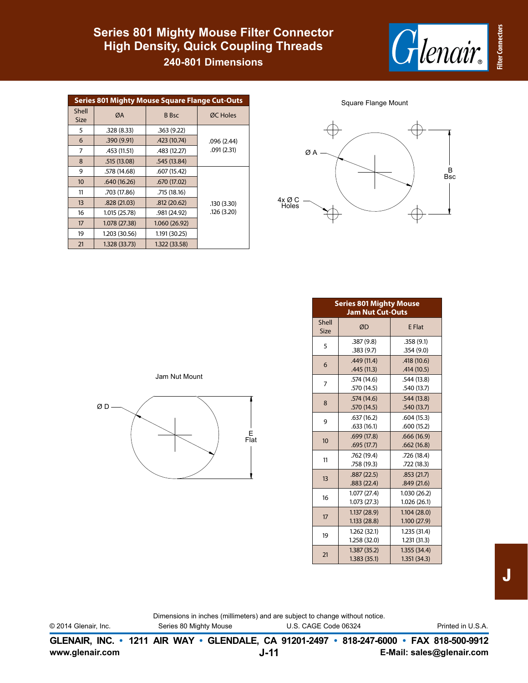# **Series 801 Mighty Mouse Filter Connector High Density, Quick Coupling Threads**

**240-801 Dimensions**



| <b>Series 801 Mighty Mouse Square Flange Cut-Outs</b> |               |               |            |  |  |  |  |
|-------------------------------------------------------|---------------|---------------|------------|--|--|--|--|
| Shell<br><b>Size</b>                                  | ØA            | <b>B</b> Bsc  | ØC Holes   |  |  |  |  |
| 5                                                     | .328(8.33)    | .363(9.22)    |            |  |  |  |  |
| 6                                                     | .390 (9.91)   | .423 (10.74)  | .096(2.44) |  |  |  |  |
| 7                                                     | .453 (11.51)  | .483 (12.27)  | .091(2.31) |  |  |  |  |
| 8                                                     | .515 (13.08)  | .545 (13.84)  |            |  |  |  |  |
| 9                                                     | .578 (14.68)  | .607 (15.42)  |            |  |  |  |  |
| 10                                                    | .640 (16.26)  | .670 (17.02)  |            |  |  |  |  |
| 11                                                    | .703 (17.86)  | .715 (18.16)  |            |  |  |  |  |
| 13                                                    | .828(21.03)   | .812(20.62)   | .130(3.30) |  |  |  |  |
| 16                                                    | 1.015 (25.78) | .981 (24.92)  | .126(3.20) |  |  |  |  |
| 17                                                    | 1.078 (27.38) | 1.060 (26.92) |            |  |  |  |  |
| 19                                                    | 1.203 (30.56) | 1.191 (30.25) |            |  |  |  |  |
| 21                                                    | 1.328 (33.73) | 1.322 (33.58) |            |  |  |  |  |

Square Flange Mount



| <b>Series 801 Mighty Mouse</b><br><b>Jam Nut Cut-Outs</b> |                             |                             |  |  |  |  |  |
|-----------------------------------------------------------|-----------------------------|-----------------------------|--|--|--|--|--|
| Shell<br>Size                                             | ØD                          | <b>E</b> Flat               |  |  |  |  |  |
| 5                                                         | .387(9.8)<br>.383(9.7)      | .358(9.1)<br>.354(9.0)      |  |  |  |  |  |
| 6                                                         | .449(11.4)<br>.445(11.3)    | .418 (10.6)<br>.414(10.5)   |  |  |  |  |  |
| 7                                                         | .574 (14.6)<br>.570 (14.5)  | .544(13.8)<br>.540 (13.7)   |  |  |  |  |  |
| 8                                                         | .574(14.6)<br>.570(14.5)    | .544(13.8)<br>.540(13.7)    |  |  |  |  |  |
| 9                                                         | .637(16.2)<br>.633(16.1)    | .604(15.3)<br>.600(15.2)    |  |  |  |  |  |
| 10                                                        | .699(17.8)<br>.695(17.7)    | .666(16.9)<br>.662(16.8)    |  |  |  |  |  |
| 11                                                        | .762 (19.4)<br>.758 (19.3)  | .726 (18.4)<br>.722 (18.3)  |  |  |  |  |  |
| 13                                                        | .887(22.5)<br>.883(22.4)    | .853(21.7)<br>.849(21.6)    |  |  |  |  |  |
| 16                                                        | 1.077(27.4)<br>1.073 (27.3) | 1.030 (26.2)<br>1.026(26.1) |  |  |  |  |  |
| 17                                                        | 1.137(28.9)<br>1.133(28.8)  | 1.104(28.0)<br>1.100(27.9)  |  |  |  |  |  |
| 19                                                        | 1.262(32.1)<br>1.258 (32.0) | 1.235(31.4)<br>1.231(31.3)  |  |  |  |  |  |
| 21                                                        | 1.387(35.2)<br>1.383(35.1)  | 1.355(34.4)<br>1.351(34.3)  |  |  |  |  |  |

Jam Nut Mount



Dimensions in inches (millimeters) and are subject to change without notice. © 2014 Glenair, Inc. Series 80 Mighty Mouse U.S. CAGE Code 06324 Printed in U.S.A.

**www.glenair.com E-Mail: sales@glenair.com GLENAIR, INC. • 1211 AIR WAY • GLENDALE, CA 91201-2497 • 818-247-6000 • FAX 818-500-9912 J-11**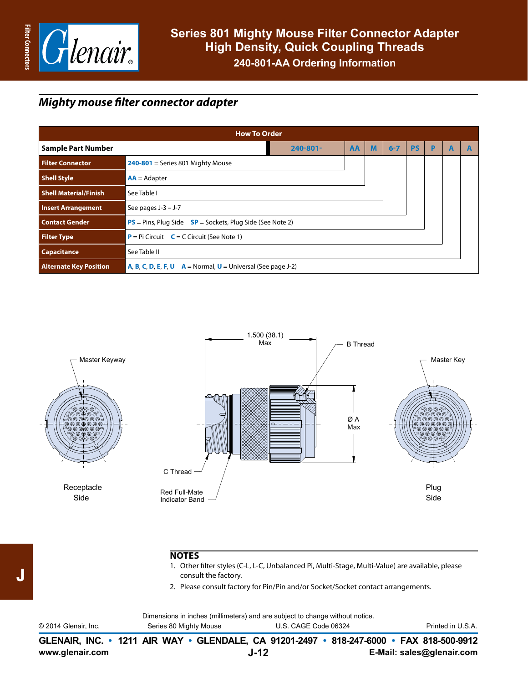

## *Mighty mouse filter connector adapter*

| <b>How To Order</b>                         |                                                                  |               |    |   |         |           |   |   |  |
|---------------------------------------------|------------------------------------------------------------------|---------------|----|---|---------|-----------|---|---|--|
| <b>Sample Part Number</b>                   |                                                                  | $240 - 801 -$ | AA | M | $6 - 7$ | <b>PS</b> | P | A |  |
| <b>Filter Connector</b>                     | $240-801$ = Series 801 Mighty Mouse                              |               |    |   |         |           |   |   |  |
| <b>Shell Style</b>                          | $AA =$ Adapter                                                   |               |    |   |         |           |   |   |  |
| <b>Shell Material/Finish</b><br>See Table I |                                                                  |               |    |   |         |           |   |   |  |
| <b>Insert Arrangement</b>                   | See pages J-3 - J-7                                              |               |    |   |         |           |   |   |  |
| <b>Contact Gender</b>                       | $PS = P$ ins, Plug Side $SP = S$ ockets, Plug Side (See Note 2)  |               |    |   |         |           |   |   |  |
| <b>Filter Type</b>                          | <b>P</b> = Pi Circuit $C = C$ Circuit (See Note 1)               |               |    |   |         |           |   |   |  |
| <b>Capacitance</b>                          | See Table II                                                     |               |    |   |         |           |   |   |  |
| <b>Alternate Key Position</b>               | $A, B, C, D, E, F, U$ $A = Normal, U = Universal$ (See page J-2) |               |    |   |         |           |   |   |  |



#### **NOTES**

- 1. Other filter styles (C-L, L-C, Unbalanced Pi, Multi-Stage, Multi-Value) are available, please consult the factory.
- 2. Please consult factory for Pin/Pin and/or Socket/Socket contact arrangements.

Dimensions in inches (millimeters) and are subject to change without notice.

| © 2014 Glenair, Inc. | Series 80 Mighty Mouse | U.S. CAGE Code 06324                                                                     | Printed in U.S.A. |
|----------------------|------------------------|------------------------------------------------------------------------------------------|-------------------|
|                      |                        | GLENAIR, INC. • 1211 AIR WAY • GLENDALE, CA 91201-2497 • 818-247-6000 • FAX 818-500-9912 |                   |

J

**J-12**

**www.glenair.com E-Mail: sales@glenair.com**